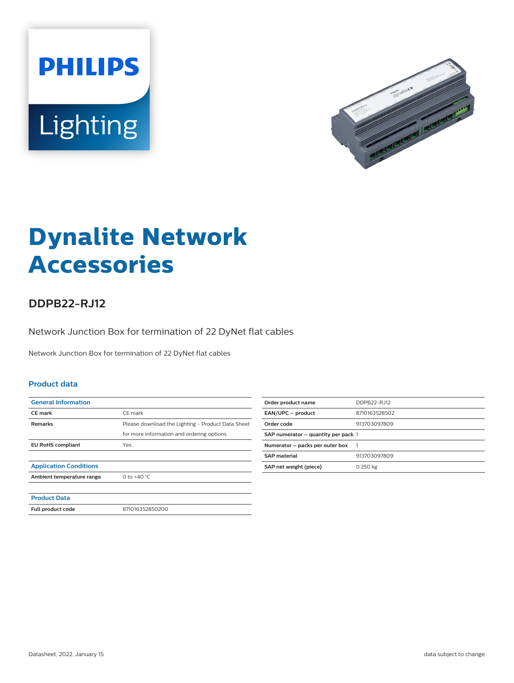



# **Dynalite Network Accessories**

## **DDPB22-RJ12**

Network Junction Box for termination of 22 DyNet flat cables

Network Junction Box for termination of 22 DyNet flat cables

#### **Product data**

| <b>General Information</b>    |                                                   |
|-------------------------------|---------------------------------------------------|
| <b>CE</b> mark                | CE mark                                           |
| <b>Remarks</b>                | Please download the Lighting - Product Data Sheet |
|                               | for more information and ordering options         |
| <b>EU RoHS compliant</b>      | Yes                                               |
|                               |                                                   |
| <b>Application Conditions</b> |                                                   |
| Ambient temperature range     | 0 to $+40 °C$                                     |
|                               |                                                   |
| <b>Product Data</b>           |                                                   |
| Full product code             | 871016352850200                                   |

| Order product name                  | DDPB22-RJ12   |
|-------------------------------------|---------------|
| EAN/UPC - product                   | 8710163528502 |
| Order code                          | 913703097809  |
| SAP numerator – quantity per pack 1 |               |
| Numerator - packs per outer box     |               |
| <b>SAP</b> material                 | 913703097809  |
| SAP net weight (piece)              | 0.250 kg      |
|                                     |               |